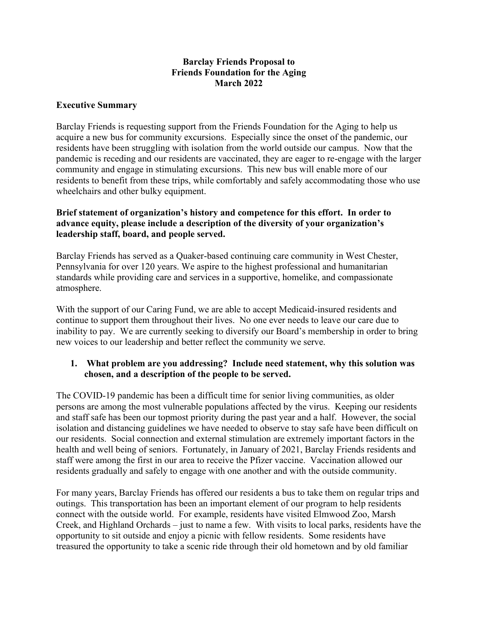### **Barclay Friends Proposal to Friends Foundation for the Aging March 2022**

#### **Executive Summary**

Barclay Friends is requesting support from the Friends Foundation for the Aging to help us acquire a new bus for community excursions. Especially since the onset of the pandemic, our residents have been struggling with isolation from the world outside our campus. Now that the pandemic is receding and our residents are vaccinated, they are eager to re-engage with the larger community and engage in stimulating excursions. This new bus will enable more of our residents to benefit from these trips, while comfortably and safely accommodating those who use wheelchairs and other bulky equipment.

#### **Brief statement of organization's history and competence for this effort. In order to advance equity, please include a description of the diversity of your organization's leadership staff, board, and people served.**

Barclay Friends has served as a Quaker-based continuing care community in West Chester, Pennsylvania for over 120 years. We aspire to the highest professional and humanitarian standards while providing care and services in a supportive, homelike, and compassionate atmosphere.

With the support of our Caring Fund, we are able to accept Medicaid-insured residents and continue to support them throughout their lives. No one ever needs to leave our care due to inability to pay. We are currently seeking to diversify our Board's membership in order to bring new voices to our leadership and better reflect the community we serve.

# **1. What problem are you addressing? Include need statement, why this solution was chosen, and a description of the people to be served.**

The COVID-19 pandemic has been a difficult time for senior living communities, as older persons are among the most vulnerable populations affected by the virus. Keeping our residents and staff safe has been our topmost priority during the past year and a half. However, the social isolation and distancing guidelines we have needed to observe to stay safe have been difficult on our residents. Social connection and external stimulation are extremely important factors in the health and well being of seniors. Fortunately, in January of 2021, Barclay Friends residents and staff were among the first in our area to receive the Pfizer vaccine. Vaccination allowed our residents gradually and safely to engage with one another and with the outside community.

For many years, Barclay Friends has offered our residents a bus to take them on regular trips and outings. This transportation has been an important element of our program to help residents connect with the outside world. For example, residents have visited Elmwood Zoo, Marsh Creek, and Highland Orchards – just to name a few. With visits to local parks, residents have the opportunity to sit outside and enjoy a picnic with fellow residents. Some residents have treasured the opportunity to take a scenic ride through their old hometown and by old familiar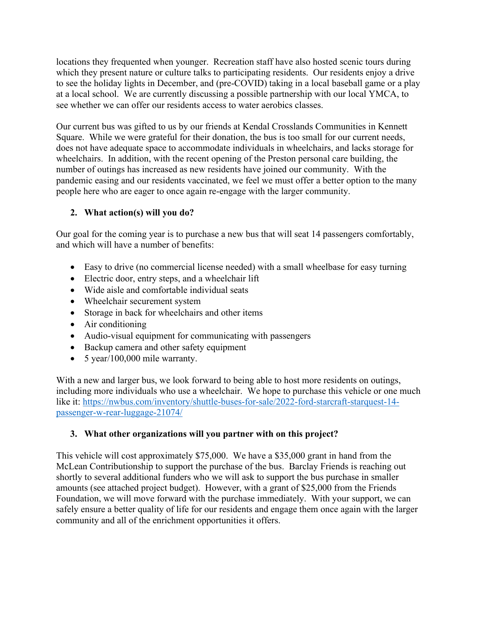locations they frequented when younger. Recreation staff have also hosted scenic tours during which they present nature or culture talks to participating residents. Our residents enjoy a drive to see the holiday lights in December, and (pre-COVID) taking in a local baseball game or a play at a local school. We are currently discussing a possible partnership with our local YMCA, to see whether we can offer our residents access to water aerobics classes.

Our current bus was gifted to us by our friends at Kendal Crosslands Communities in Kennett Square. While we were grateful for their donation, the bus is too small for our current needs, does not have adequate space to accommodate individuals in wheelchairs, and lacks storage for wheelchairs. In addition, with the recent opening of the Preston personal care building, the number of outings has increased as new residents have joined our community. With the pandemic easing and our residents vaccinated, we feel we must offer a better option to the many people here who are eager to once again re-engage with the larger community.

# **2. What action(s) will you do?**

Our goal for the coming year is to purchase a new bus that will seat 14 passengers comfortably, and which will have a number of benefits:

- Easy to drive (no commercial license needed) with a small wheelbase for easy turning
- Electric door, entry steps, and a wheelchair lift
- Wide aisle and comfortable individual seats
- Wheelchair securement system
- Storage in back for wheelchairs and other items
- Air conditioning
- Audio-visual equipment for communicating with passengers
- Backup camera and other safety equipment
- 5 year/100,000 mile warranty.

With a new and larger bus, we look forward to being able to host more residents on outings, including more individuals who use a wheelchair. We hope to purchase this vehicle or one much like it: https://nwbus.com/inventory/shuttle-buses-for-sale/2022-ford-starcraft-starquest-14 passenger-w-rear-luggage-21074/

# **3. What other organizations will you partner with on this project?**

This vehicle will cost approximately \$75,000. We have a \$35,000 grant in hand from the McLean Contributionship to support the purchase of the bus. Barclay Friends is reaching out shortly to several additional funders who we will ask to support the bus purchase in smaller amounts (see attached project budget). However, with a grant of \$25,000 from the Friends Foundation, we will move forward with the purchase immediately. With your support, we can safely ensure a better quality of life for our residents and engage them once again with the larger community and all of the enrichment opportunities it offers.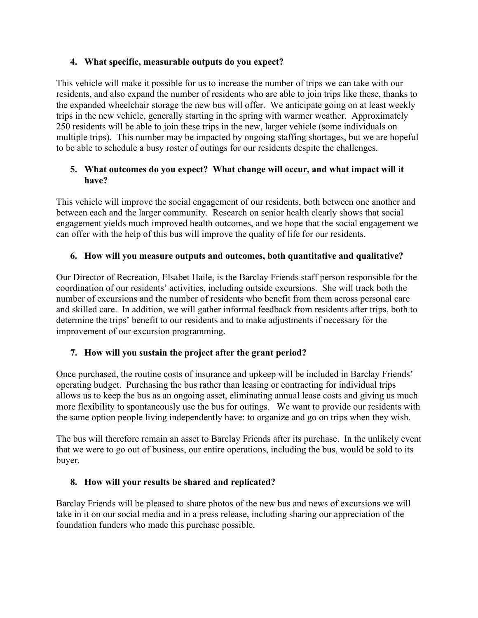# **4. What specific, measurable outputs do you expect?**

This vehicle will make it possible for us to increase the number of trips we can take with our residents, and also expand the number of residents who are able to join trips like these, thanks to the expanded wheelchair storage the new bus will offer. We anticipate going on at least weekly trips in the new vehicle, generally starting in the spring with warmer weather. Approximately 250 residents will be able to join these trips in the new, larger vehicle (some individuals on multiple trips). This number may be impacted by ongoing staffing shortages, but we are hopeful to be able to schedule a busy roster of outings for our residents despite the challenges.

# **5. What outcomes do you expect? What change will occur, and what impact will it have?**

This vehicle will improve the social engagement of our residents, both between one another and between each and the larger community. Research on senior health clearly shows that social engagement yields much improved health outcomes, and we hope that the social engagement we can offer with the help of this bus will improve the quality of life for our residents.

# **6. How will you measure outputs and outcomes, both quantitative and qualitative?**

Our Director of Recreation, Elsabet Haile, is the Barclay Friends staff person responsible for the coordination of our residents' activities, including outside excursions. She will track both the number of excursions and the number of residents who benefit from them across personal care and skilled care. In addition, we will gather informal feedback from residents after trips, both to determine the trips' benefit to our residents and to make adjustments if necessary for the improvement of our excursion programming.

# **7. How will you sustain the project after the grant period?**

Once purchased, the routine costs of insurance and upkeep will be included in Barclay Friends' operating budget. Purchasing the bus rather than leasing or contracting for individual trips allows us to keep the bus as an ongoing asset, eliminating annual lease costs and giving us much more flexibility to spontaneously use the bus for outings. We want to provide our residents with the same option people living independently have: to organize and go on trips when they wish.

The bus will therefore remain an asset to Barclay Friends after its purchase. In the unlikely event that we were to go out of business, our entire operations, including the bus, would be sold to its buyer.

# **8. How will your results be shared and replicated?**

Barclay Friends will be pleased to share photos of the new bus and news of excursions we will take in it on our social media and in a press release, including sharing our appreciation of the foundation funders who made this purchase possible.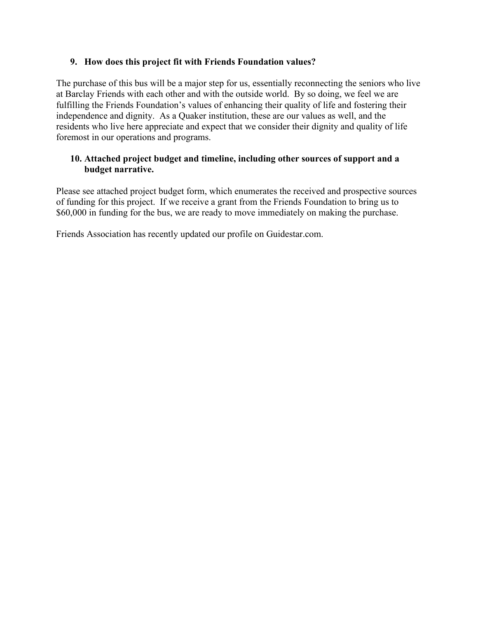# **9. How does this project fit with Friends Foundation values?**

The purchase of this bus will be a major step for us, essentially reconnecting the seniors who live at Barclay Friends with each other and with the outside world. By so doing, we feel we are fulfilling the Friends Foundation's values of enhancing their quality of life and fostering their independence and dignity. As a Quaker institution, these are our values as well, and the residents who live here appreciate and expect that we consider their dignity and quality of life foremost in our operations and programs.

# **10. Attached project budget and timeline, including other sources of support and a budget narrative.**

Please see attached project budget form, which enumerates the received and prospective sources of funding for this project. If we receive a grant from the Friends Foundation to bring us to \$60,000 in funding for the bus, we are ready to move immediately on making the purchase.

Friends Association has recently updated our profile on Guidestar.com.